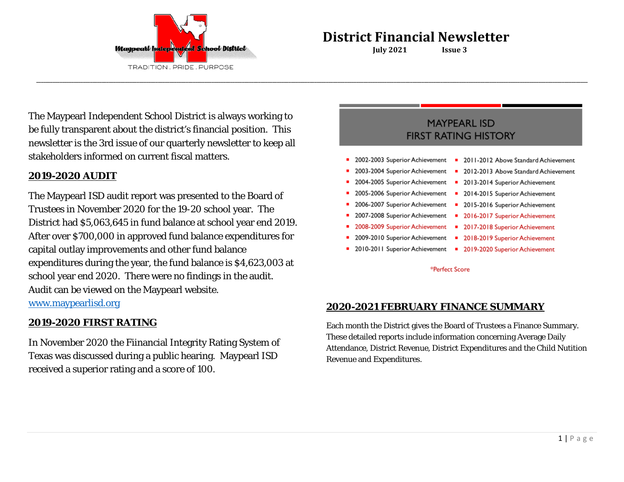

The Maypearl Independent School District is always working to be fully transparent about the district's financial position. This newsletter is the 3rd issue of our quarterly newsletter to keep all stakeholders informed on current fiscal matters.

# **2019-2020 AUDIT**

The Maypearl ISD audit report was presented to the Board of Trustees in November 2020 for the 19-20 school year. The District had \$5,063,645 in fund balance at school year end 2019. After over \$700,000 in approved fund balance expenditures for capital outlay improvements and other fund balance expenditures during the year, the fund balance is \$4,623,003 at school year end 2020. There were no findings in the audit. Audit can be viewed on the Maypearl website.

[www.maypearlisd.org](http://www.maypearlisd.org/)

## **2019-2020 FIRST RATING**

In November 2020 the Fiinancial Integrity Rating System of Texas was discussed during a public hearing. Maypearl ISD received a superior rating and a score of 100.

# **MAYPEARL ISD FIRST RATING HISTORY**

2002-2003 Superior Achievement 2011-2012 Above Standard Achievement  $\blacksquare$  $\blacksquare$ 

2012-2013 Above Standard Achievement

2003-2004 Superior Achievement

**\_\_\_\_\_\_\_\_\_\_\_\_\_\_\_\_\_\_\_\_\_\_\_\_\_\_\_\_\_\_\_\_\_\_\_\_\_\_\_\_\_\_\_\_\_\_\_\_\_\_\_\_\_\_\_\_\_\_\_\_\_\_\_\_\_\_\_\_\_\_\_\_\_\_\_\_\_\_\_\_\_\_\_\_\_\_\_\_\_\_\_\_\_\_\_\_\_\_\_\_\_\_\_\_\_\_\_\_\_\_\_\_\_\_\_\_\_\_\_\_\_\_\_\_\_\_\_\_\_\_\_\_\_\_\_\_\_\_\_\_\_\_\_\_\_\_\_\_\_\_\_\_\_\_\_\_\_\_\_\_\_\_\_\_\_\_\_\_\_\_\_\_\_\_\_\_\_\_\_\_\_\_\_\_\_\_\_\_\_\_\_\_\_\_\_\_\_\_\_\_\_\_\_\_\_\_\_\_\_\_\_\_\_\_\_\_\_\_\_\_\_\_\_\_\_\_\_\_\_\_\_\_\_\_\_\_**

- 2004-2005 Superior Achievement 2013-2014 Superior Achievement
- 2005-2006 Superior Achievement 2014-2015 Superior Achievement
	- 2006-2007 Superior Achievement 2015-2016 Superior Achievement
- 2007-2008 Superior Achievement 2016-2017 Superior Achievement
- 2008-2009 Superior Achievement 2017-2018 Superior Achievement
- 2009-2010 Superior Achievement = 2018-2019 Superior Achievement
	- 2010-2011 Superior Achievement = 2019-2020 Superior Achievement

\*Perfect Score

# **2020-2021 FEBRUARY FINANCE SUMMARY**

Each month the District gives the Board of Trustees a Finance Summary. These detailed reports include information concerning Average Daily Attendance, District Revenue, District Expenditures and the Child Nutition Revenue and Expenditures.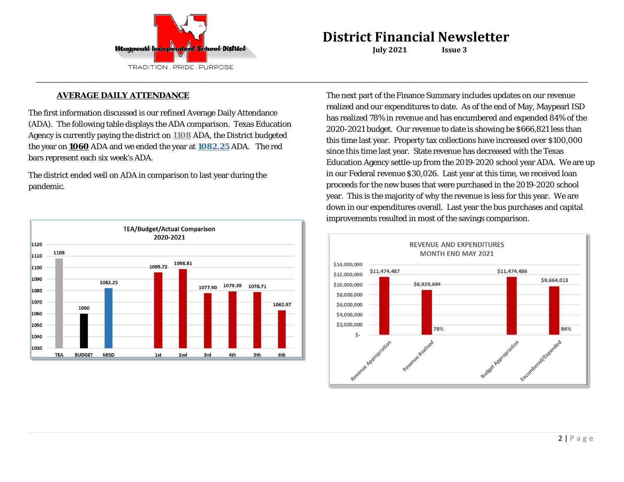

**\_\_\_\_\_\_\_\_\_\_\_\_\_\_\_\_\_\_\_\_\_\_\_\_\_\_\_\_\_\_\_\_\_\_\_\_\_\_\_\_\_\_\_\_\_\_\_\_\_\_\_\_\_\_\_\_\_\_\_\_\_\_\_\_\_\_\_\_\_\_\_\_\_\_\_\_\_\_\_\_\_\_\_\_\_\_\_\_\_\_\_\_\_\_\_\_\_\_\_\_\_\_\_\_\_\_\_\_\_\_\_\_\_\_\_\_\_\_\_\_\_\_\_\_\_\_\_\_\_\_\_\_\_\_\_\_\_\_\_\_\_\_\_\_\_\_\_\_\_\_\_\_\_\_\_\_\_\_\_\_\_\_\_\_\_\_\_\_\_\_\_\_\_\_\_\_\_\_\_\_\_\_\_\_\_\_\_\_\_\_\_\_\_\_\_\_\_\_\_\_\_\_\_\_\_\_\_\_\_\_\_\_\_\_\_\_\_\_\_\_\_\_\_\_\_\_\_\_\_\_\_\_\_\_\_\_**

### **AVERAGE DAILY ATTENDANCE**

The first information discussed is our refined Average Daily Attendance (ADA). The following table displays the ADA comparison. Texas Education Agency is currently paying the district on **1108** ADA, the District budgeted the year on **1060** ADA and we ended the year at **1082.25** ADA. The red bars represent each six week's ADA.

The district ended well on ADA in comparison to last year during the pandemic.



The next part of the Finance Summary includes updates on our revenue realized and our expenditures to date. As of the end of May, Maypearl ISD has realized 78% in revenue and has encumbered and expended 84% of the 2020-2021 budget. Our revenue to date is showing be \$666,821 less than this time last year. Property tax collections have increased over \$100,000 since this time last year. State revenue has decreased with the Texas Education Agency settle-up from the 2019-2020 school year ADA. We are up in our Federal revenue \$30,026. Last year at this time, we received loan proceeds for the new buses that were purchased in the 2019-2020 school year. This is the majority of why the revenue is less for this year. We are down in our expenditures overall. Last year the bus purchases and capital improvements resulted in most of the savings comparison.